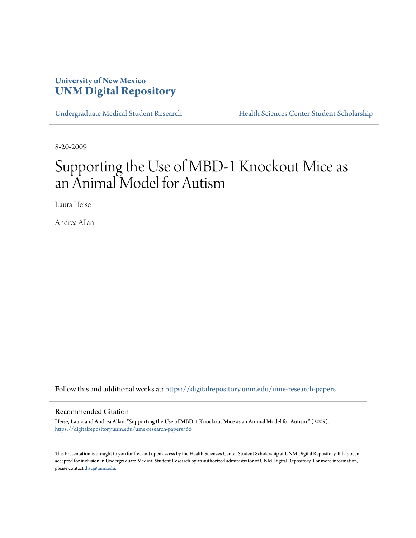# **University of New Mexico [UNM Digital Repository](https://digitalrepository.unm.edu?utm_source=digitalrepository.unm.edu%2Fume-research-papers%2F66&utm_medium=PDF&utm_campaign=PDFCoverPages)**

[Undergraduate Medical Student Research](https://digitalrepository.unm.edu/ume-research-papers?utm_source=digitalrepository.unm.edu%2Fume-research-papers%2F66&utm_medium=PDF&utm_campaign=PDFCoverPages) [Health Sciences Center Student Scholarship](https://digitalrepository.unm.edu/hsc-students?utm_source=digitalrepository.unm.edu%2Fume-research-papers%2F66&utm_medium=PDF&utm_campaign=PDFCoverPages)

8-20-2009

# Supporting the Use of MBD-1 Knockout Mice as an Animal Model for Autism

Laura Heise

Andrea Allan

Follow this and additional works at: [https://digitalrepository.unm.edu/ume-research-papers](https://digitalrepository.unm.edu/ume-research-papers?utm_source=digitalrepository.unm.edu%2Fume-research-papers%2F66&utm_medium=PDF&utm_campaign=PDFCoverPages)

#### Recommended Citation

Heise, Laura and Andrea Allan. "Supporting the Use of MBD-1 Knockout Mice as an Animal Model for Autism." (2009). [https://digitalrepository.unm.edu/ume-research-papers/66](https://digitalrepository.unm.edu/ume-research-papers/66?utm_source=digitalrepository.unm.edu%2Fume-research-papers%2F66&utm_medium=PDF&utm_campaign=PDFCoverPages)

This Presentation is brought to you for free and open access by the Health Sciences Center Student Scholarship at UNM Digital Repository. It has been accepted for inclusion in Undergraduate Medical Student Research by an authorized administrator of UNM Digital Repository. For more information, please contact [disc@unm.edu.](mailto:disc@unm.edu)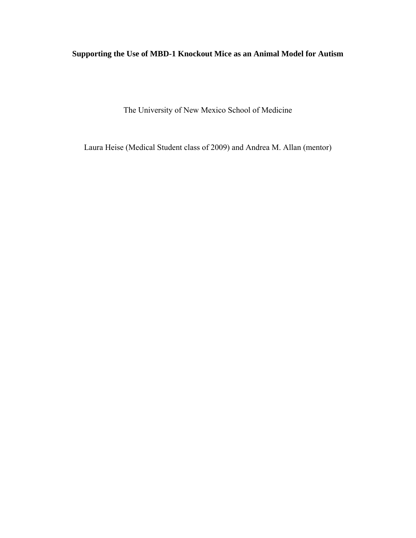## **Supporting the Use of MBD-1 Knockout Mice as an Animal Model for Autism**

The University of New Mexico School of Medicine

Laura Heise (Medical Student class of 2009) and Andrea M. Allan (mentor)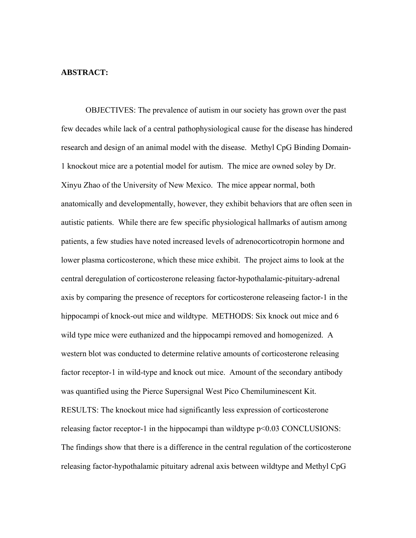## **ABSTRACT:**

OBJECTIVES: The prevalence of autism in our society has grown over the past few decades while lack of a central pathophysiological cause for the disease has hindered research and design of an animal model with the disease. Methyl CpG Binding Domain-1 knockout mice are a potential model for autism. The mice are owned soley by Dr. Xinyu Zhao of the University of New Mexico. The mice appear normal, both anatomically and developmentally, however, they exhibit behaviors that are often seen in autistic patients. While there are few specific physiological hallmarks of autism among patients, a few studies have noted increased levels of adrenocorticotropin hormone and lower plasma corticosterone, which these mice exhibit. The project aims to look at the central deregulation of corticosterone releasing factor-hypothalamic-pituitary-adrenal axis by comparing the presence of receptors for corticosterone releaseing factor-1 in the hippocampi of knock-out mice and wildtype. METHODS: Six knock out mice and 6 wild type mice were euthanized and the hippocampi removed and homogenized. A western blot was conducted to determine relative amounts of corticosterone releasing factor receptor-1 in wild-type and knock out mice. Amount of the secondary antibody was quantified using the Pierce Supersignal West Pico Chemiluminescent Kit. RESULTS: The knockout mice had significantly less expression of corticosterone releasing factor receptor-1 in the hippocampi than wildtype p<0.03 CONCLUSIONS: The findings show that there is a difference in the central regulation of the corticosterone releasing factor-hypothalamic pituitary adrenal axis between wildtype and Methyl CpG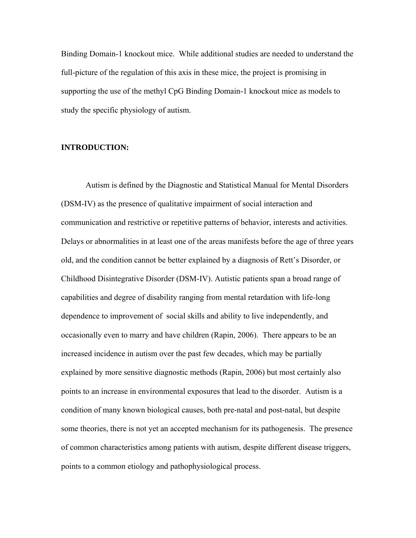Binding Domain-1 knockout mice. While additional studies are needed to understand the full-picture of the regulation of this axis in these mice, the project is promising in supporting the use of the methyl CpG Binding Domain-1 knockout mice as models to study the specific physiology of autism.

#### **INTRODUCTION:**

Autism is defined by the Diagnostic and Statistical Manual for Mental Disorders (DSM-IV) as the presence of qualitative impairment of social interaction and communication and restrictive or repetitive patterns of behavior, interests and activities. Delays or abnormalities in at least one of the areas manifests before the age of three years old, and the condition cannot be better explained by a diagnosis of Rett's Disorder, or Childhood Disintegrative Disorder (DSM-IV). Autistic patients span a broad range of capabilities and degree of disability ranging from mental retardation with life-long dependence to improvement of social skills and ability to live independently, and occasionally even to marry and have children (Rapin, 2006). There appears to be an increased incidence in autism over the past few decades, which may be partially explained by more sensitive diagnostic methods (Rapin, 2006) but most certainly also points to an increase in environmental exposures that lead to the disorder. Autism is a condition of many known biological causes, both pre-natal and post-natal, but despite some theories, there is not yet an accepted mechanism for its pathogenesis. The presence of common characteristics among patients with autism, despite different disease triggers, points to a common etiology and pathophysiological process.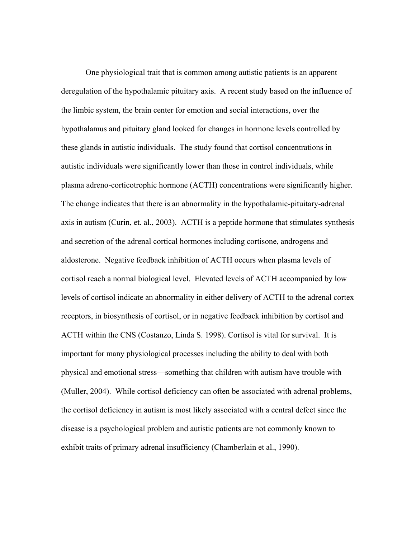One physiological trait that is common among autistic patients is an apparent deregulation of the hypothalamic pituitary axis. A recent study based on the influence of the limbic system, the brain center for emotion and social interactions, over the hypothalamus and pituitary gland looked for changes in hormone levels controlled by these glands in autistic individuals. The study found that cortisol concentrations in autistic individuals were significantly lower than those in control individuals, while plasma adreno-corticotrophic hormone (ACTH) concentrations were significantly higher. The change indicates that there is an abnormality in the hypothalamic-pituitary-adrenal axis in autism (Curin, et. al., 2003). ACTH is a peptide hormone that stimulates synthesis and secretion of the adrenal cortical hormones including cortisone, androgens and aldosterone. Negative feedback inhibition of ACTH occurs when plasma levels of cortisol reach a normal biological level. Elevated levels of ACTH accompanied by low levels of cortisol indicate an abnormality in either delivery of ACTH to the adrenal cortex receptors, in biosynthesis of cortisol, or in negative feedback inhibition by cortisol and ACTH within the CNS (Costanzo, Linda S. 1998). Cortisol is vital for survival. It is important for many physiological processes including the ability to deal with both physical and emotional stress—something that children with autism have trouble with (Muller, 2004). While cortisol deficiency can often be associated with adrenal problems, the cortisol deficiency in autism is most likely associated with a central defect since the disease is a psychological problem and autistic patients are not commonly known to exhibit traits of primary adrenal insufficiency (Chamberlain et al., 1990).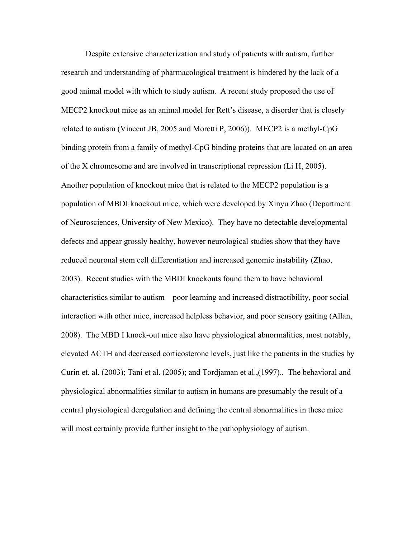Despite extensive characterization and study of patients with autism, further research and understanding of pharmacological treatment is hindered by the lack of a good animal model with which to study autism. A recent study proposed the use of MECP2 knockout mice as an animal model for Rett's disease, a disorder that is closely related to autism (Vincent JB, 2005 and Moretti P, 2006)). MECP2 is a methyl-CpG binding protein from a family of methyl-CpG binding proteins that are located on an area of the X chromosome and are involved in transcriptional repression (Li H, 2005). Another population of knockout mice that is related to the MECP2 population is a population of MBDI knockout mice, which were developed by Xinyu Zhao (Department of Neurosciences, University of New Mexico). They have no detectable developmental defects and appear grossly healthy, however neurological studies show that they have reduced neuronal stem cell differentiation and increased genomic instability (Zhao, 2003). Recent studies with the MBDI knockouts found them to have behavioral characteristics similar to autism—poor learning and increased distractibility, poor social interaction with other mice, increased helpless behavior, and poor sensory gaiting (Allan, 2008). The MBD I knock-out mice also have physiological abnormalities, most notably, elevated ACTH and decreased corticosterone levels, just like the patients in the studies by Curin et. al. (2003); Tani et al. (2005); and Tordjaman et al.,(1997).. The behavioral and physiological abnormalities similar to autism in humans are presumably the result of a central physiological deregulation and defining the central abnormalities in these mice will most certainly provide further insight to the pathophysiology of autism.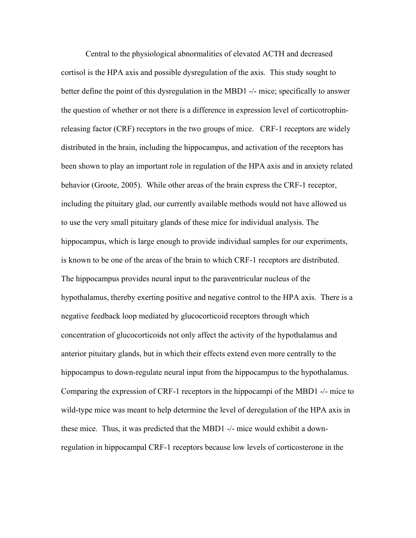Central to the physiological abnormalities of elevated ACTH and decreased cortisol is the HPA axis and possible dysregulation of the axis. This study sought to better define the point of this dysregulation in the MBD1 -/- mice; specifically to answer the question of whether or not there is a difference in expression level of corticotrophinreleasing factor (CRF) receptors in the two groups of mice. CRF-1 receptors are widely distributed in the brain, including the hippocampus, and activation of the receptors has been shown to play an important role in regulation of the HPA axis and in anxiety related behavior (Groote, 2005). While other areas of the brain express the CRF-1 receptor, including the pituitary glad, our currently available methods would not have allowed us to use the very small pituitary glands of these mice for individual analysis. The hippocampus, which is large enough to provide individual samples for our experiments, is known to be one of the areas of the brain to which CRF-1 receptors are distributed. The hippocampus provides neural input to the paraventricular nucleus of the hypothalamus, thereby exerting positive and negative control to the HPA axis. There is a negative feedback loop mediated by glucocorticoid receptors through which concentration of glucocorticoids not only affect the activity of the hypothalamus and anterior pituitary glands, but in which their effects extend even more centrally to the hippocampus to down-regulate neural input from the hippocampus to the hypothalamus. Comparing the expression of CRF-1 receptors in the hippocampi of the MBD1 -/- mice to wild-type mice was meant to help determine the level of deregulation of the HPA axis in these mice. Thus, it was predicted that the MBD1 -/- mice would exhibit a downregulation in hippocampal CRF-1 receptors because low levels of corticosterone in the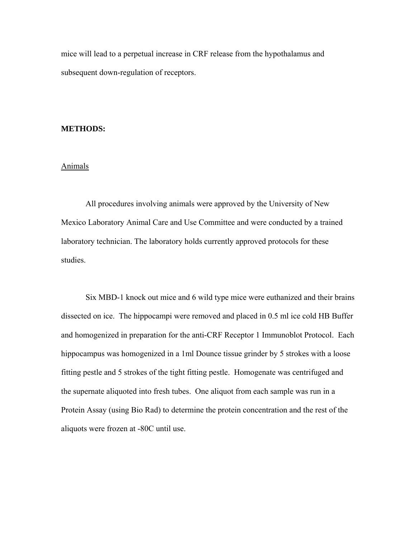mice will lead to a perpetual increase in CRF release from the hypothalamus and subsequent down-regulation of receptors.

## **METHODS:**

#### Animals

All procedures involving animals were approved by the University of New Mexico Laboratory Animal Care and Use Committee and were conducted by a trained laboratory technician. The laboratory holds currently approved protocols for these studies.

Six MBD-1 knock out mice and 6 wild type mice were euthanized and their brains dissected on ice. The hippocampi were removed and placed in 0.5 ml ice cold HB Buffer and homogenized in preparation for the anti-CRF Receptor 1 Immunoblot Protocol. Each hippocampus was homogenized in a 1ml Dounce tissue grinder by 5 strokes with a loose fitting pestle and 5 strokes of the tight fitting pestle. Homogenate was centrifuged and the supernate aliquoted into fresh tubes. One aliquot from each sample was run in a Protein Assay (using Bio Rad) to determine the protein concentration and the rest of the aliquots were frozen at -80C until use.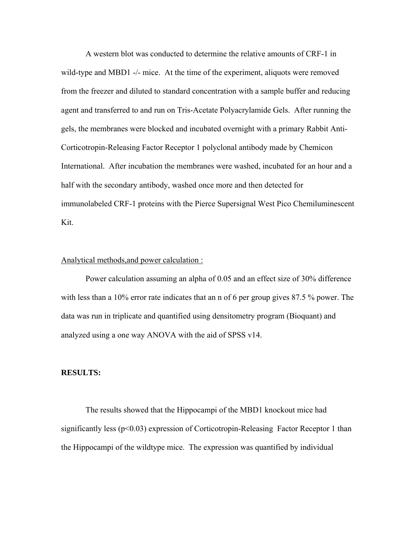A western blot was conducted to determine the relative amounts of CRF-1 in wild-type and MBD1 -/- mice. At the time of the experiment, aliquots were removed from the freezer and diluted to standard concentration with a sample buffer and reducing agent and transferred to and run on Tris-Acetate Polyacrylamide Gels. After running the gels, the membranes were blocked and incubated overnight with a primary Rabbit Anti-Corticotropin-Releasing Factor Receptor 1 polyclonal antibody made by Chemicon International. After incubation the membranes were washed, incubated for an hour and a half with the secondary antibody, washed once more and then detected for immunolabeled CRF-1 proteins with the Pierce Supersignal West Pico Chemiluminescent Kit.

## Analytical methods,and power calculation :

Power calculation assuming an alpha of 0.05 and an effect size of 30% difference with less than a 10% error rate indicates that an n of 6 per group gives 87.5 % power. The data was run in triplicate and quantified using densitometry program (Bioquant) and analyzed using a one way ANOVA with the aid of SPSS v14.

#### **RESULTS:**

The results showed that the Hippocampi of the MBD1 knockout mice had significantly less ( $p<0.03$ ) expression of Corticotropin-Releasing Factor Receptor 1 than the Hippocampi of the wildtype mice. The expression was quantified by individual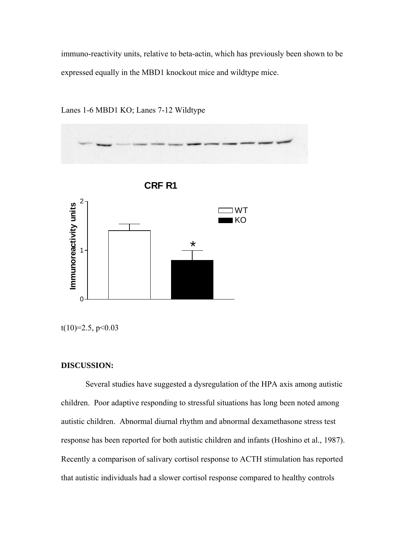immuno-reactivity units, relative to beta-actin, which has previously been shown to be expressed equally in the MBD1 knockout mice and wildtype mice.



Lanes 1-6 MBD1 KO; Lanes 7-12 Wildtype

 $t(10)=2.5, p<0.03$ 

#### **DISCUSSION:**

Several studies have suggested a dysregulation of the HPA axis among autistic children. Poor adaptive responding to stressful situations has long been noted among autistic children. Abnormal diurnal rhythm and abnormal dexamethasone stress test response has been reported for both autistic children and infants (Hoshino et al., 1987). Recently a comparison of salivary cortisol response to ACTH stimulation has reported that autistic individuals had a slower cortisol response compared to healthy controls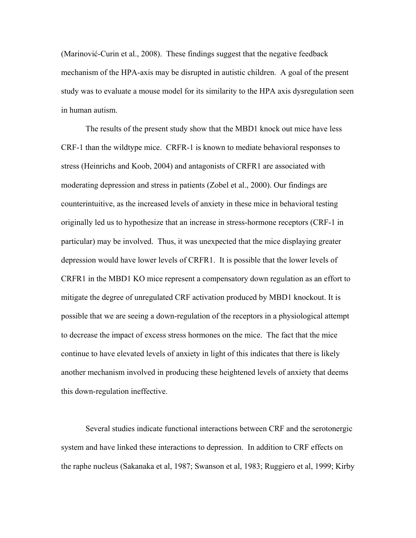(Marinović-Curin et al., 2008). These findings suggest that the negative feedback mechanism of the HPA-axis may be disrupted in autistic children. A goal of the present study was to evaluate a mouse model for its similarity to the HPA axis dysregulation seen in human autism.

The results of the present study show that the MBD1 knock out mice have less CRF-1 than the wildtype mice. CRFR-1 is known to mediate behavioral responses to stress (Heinrichs and Koob, 2004) and antagonists of CRFR1 are associated with moderating depression and stress in patients (Zobel et al., 2000). Our findings are counterintuitive, as the increased levels of anxiety in these mice in behavioral testing originally led us to hypothesize that an increase in stress-hormone receptors (CRF-1 in particular) may be involved. Thus, it was unexpected that the mice displaying greater depression would have lower levels of CRFR1. It is possible that the lower levels of CRFR1 in the MBD1 KO mice represent a compensatory down regulation as an effort to mitigate the degree of unregulated CRF activation produced by MBD1 knockout. It is possible that we are seeing a down-regulation of the receptors in a physiological attempt to decrease the impact of excess stress hormones on the mice. The fact that the mice continue to have elevated levels of anxiety in light of this indicates that there is likely another mechanism involved in producing these heightened levels of anxiety that deems this down-regulation ineffective.

Several studies indicate functional interactions between CRF and the serotonergic system and have linked these interactions to depression. In addition to CRF effects on the raphe nucleus (Sakanaka et al, 1987; Swanson et al, 1983; Ruggiero et al, 1999; Kirby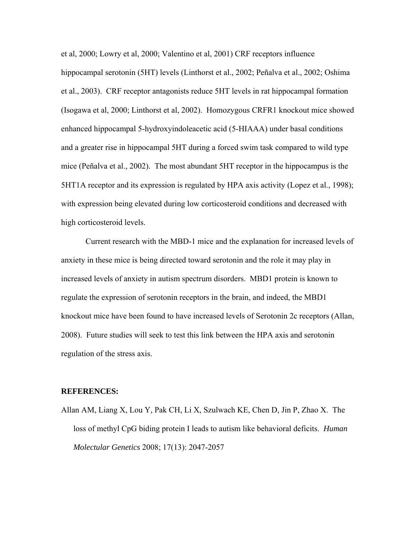et al, 2000; Lowry et al, 2000; Valentino et al, 2001) CRF receptors influence hippocampal serotonin (5HT) levels (Linthorst et al., 2002; Peñalva et al., 2002; Oshima et al., 2003). CRF receptor antagonists reduce 5HT levels in rat hippocampal formation (Isogawa et al, 2000; Linthorst et al, 2002). Homozygous CRFR1 knockout mice showed enhanced hippocampal 5-hydroxyindoleacetic acid (5-HIAAA) under basal conditions and a greater rise in hippocampal 5HT during a forced swim task compared to wild type mice (Peñalva et al., 2002). The most abundant 5HT receptor in the hippocampus is the 5HT1A receptor and its expression is regulated by HPA axis activity (Lopez et al., 1998); with expression being elevated during low corticosteroid conditions and decreased with high corticosteroid levels.

Current research with the MBD-1 mice and the explanation for increased levels of anxiety in these mice is being directed toward serotonin and the role it may play in increased levels of anxiety in autism spectrum disorders. MBD1 protein is known to regulate the expression of serotonin receptors in the brain, and indeed, the MBD1 knockout mice have been found to have increased levels of Serotonin 2c receptors (Allan, 2008). Future studies will seek to test this link between the HPA axis and serotonin regulation of the stress axis.

#### **REFERENCES:**

Allan AM, Liang X, Lou Y, Pak CH, Li X, Szulwach KE, Chen D, Jin P, Zhao X. The loss of methyl CpG biding protein I leads to autism like behavioral deficits. *Human Molectular Genetics* 2008; 17(13): 2047-2057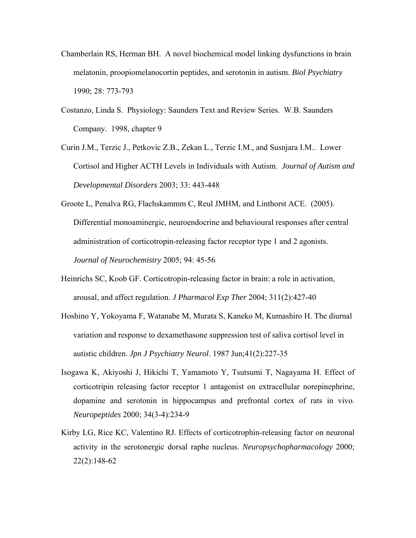- Chamberlain RS, Herman BH. A novel biochemical model linking dysfunctions in brain melatonin, proopiomelanocortin peptides, and serotonin in autism. *Biol Psychiatry*  1990; 28: 773-793
- Costanzo, Linda S. Physiology: Saunders Text and Review Series. W.B. Saunders Company. 1998, chapter 9
- Curin J.M., Terzic J., Petkovic Z.B., Zekan L., Terzic I.M., and Susnjara I.M.. Lower Cortisol and Higher ACTH Levels in Individuals with Autism. *Journal of Autism and Developmental Disorders* 2003; 33: 443-448
- Groote L, Penalva RG, Flachskammm C, Reul JMHM, and Linthorst ACE. (2005). Differential monoaminergic, neuroendocrine and behavioural responses after central administration of corticotropin-releasing factor receptor type 1 and 2 agonists. *Journal of Neurochemistry* 2005; 94: 45-56
- Heinrichs SC, Koob GF. Corticotropin-releasing factor in brain: a role in activation, arousal, and affect regulation. *J Pharmacol Exp Ther* 2004; 311(2):427-40
- Hoshino Y, Yokoyama F, Watanabe M, Murata S, Kaneko M, Kumashiro H. The diurnal variation and response to dexamethasone suppression test of saliva cortisol level in autistic children. *Jpn J Psychiatry Neurol*. 1987 Jun;41(2):227-35
- Isogawa K, Akiyoshi J, Hikichi T, Yamamoto Y, Tsutsumi T, Nagayama H. Effect of corticotripin releasing factor receptor 1 antagonist on extracellular norepinephrine, dopamine and serotonin in hippocampus and prefrontal cortex of rats in vivo. *Neuropeptides* 2000; 34(3-4):234-9
- Kirby LG, Rice KC, Valentino RJ. Effects of corticotrophin-releasing factor on neuronal activity in the serotonergic dorsal raphe nucleus. *Neuropsychopharmacology* 2000; 22(2):148-62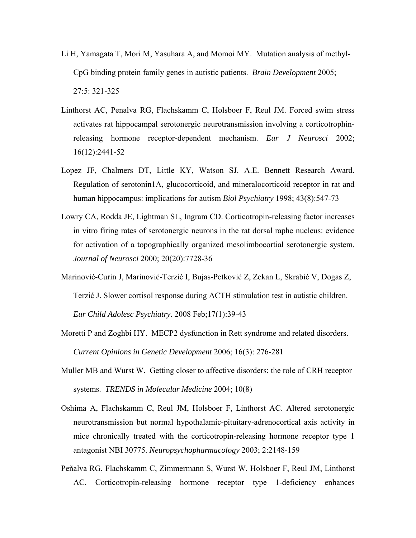- Li H, Yamagata T, Mori M, Yasuhara A, and Momoi MY. Mutation analysis of methyl-CpG binding protein family genes in autistic patients. *Brain Development* 2005; 27:5: 321-325
- Linthorst AC, Penalva RG, Flachskamm C, Holsboer F, Reul JM. Forced swim stress activates rat hippocampal serotonergic neurotransmission involving a corticotrophinreleasing hormone receptor-dependent mechanism. *Eur J Neurosci* 2002; 16(12):2441-52
- Lopez JF, Chalmers DT, Little KY, Watson SJ. A.E. Bennett Research Award. Regulation of serotonin1A, glucocorticoid, and mineralocorticoid receptor in rat and human hippocampus: implications for autism *Biol Psychiatry* 1998; 43(8):547-73
- Lowry CA, Rodda JE, Lightman SL, Ingram CD. Corticotropin-releasing factor increases in vitro firing rates of serotonergic neurons in the rat dorsal raphe nucleus: evidence for activation of a topographically organized mesolimbocortial serotonergic system. *Journal of Neurosci* 2000; 20(20):7728-36
- Marinović-Curin J, Marinović-Terzić I, Bujas-Petković Z, Zekan L, Skrabić V, Dogas Z, Terzić J. Slower cortisol response during ACTH stimulation test in autistic children. *Eur Child Adolesc Psychiatry.* 2008 Feb;17(1):39-43
- Moretti P and Zoghbi HY. MECP2 dysfunction in Rett syndrome and related disorders. *Current Opinions in Genetic Development* 2006; 16(3): 276-281
- Muller MB and Wurst W. Getting closer to affective disorders: the role of CRH receptor systems. *TRENDS in Molecular Medicine* 2004; 10(8)
- Oshima A, Flachskamm C, Reul JM, Holsboer F, Linthorst AC. Altered serotonergic neurotransmission but normal hypothalamic-pituitary-adrenocortical axis activity in mice chronically treated with the corticotropin-releasing hormone receptor type 1 antagonist NBI 30775. *Neuropsychopharmacology* 2003; 2:2148-159
- Peñalva RG, Flachskamm C, Zimmermann S, Wurst W, Holsboer F, Reul JM, Linthorst AC. Corticotropin-releasing hormone receptor type 1-deficiency enhances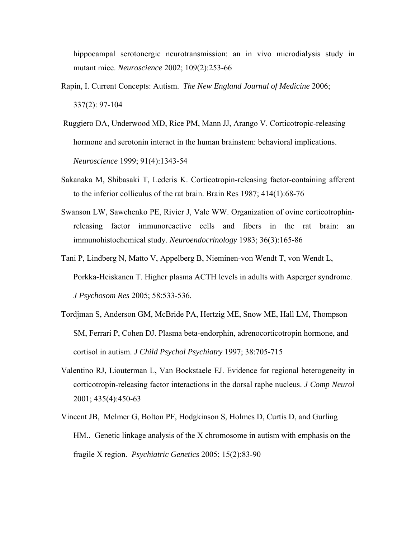hippocampal serotonergic neurotransmission: an in vivo microdialysis study in mutant mice. *Neuroscience* 2002; 109(2):253-66

- Rapin, I. Current Concepts: Autism. *The New England Journal of Medicine* 2006; 337(2): 97-104
- Ruggiero DA, Underwood MD, Rice PM, Mann JJ, Arango V. Corticotropic-releasing hormone and serotonin interact in the human brainstem: behavioral implications. *Neuroscience* 1999; 91(4):1343-54
- Sakanaka M, Shibasaki T, Lederis K. Corticotropin-releasing factor-containing afferent to the inferior colliculus of the rat brain. Brain Res 1987; 414(1):68-76
- Swanson LW, Sawchenko PE, Rivier J, Vale WW. Organization of ovine corticotrophinreleasing factor immunoreactive cells and fibers in the rat brain: an immunohistochemical study. *Neuroendocrinology* 1983; 36(3):165-86
- Tani P, Lindberg N, Matto V, Appelberg B, Nieminen-von Wendt T, von Wendt L, Porkka-Heiskanen T. Higher plasma ACTH levels in adults with Asperger syndrome. *J Psychosom Res* 2005; 58:533-536.
- Tordjman S, Anderson GM, McBride PA, Hertzig ME, Snow ME, Hall LM, Thompson SM, Ferrari P, Cohen DJ. Plasma beta-endorphin, adrenocorticotropin hormone, and cortisol in autism. *J Child Psychol Psychiatry* 1997; 38:705-715
- Valentino RJ, Liouterman L, Van Bockstaele EJ. Evidence for regional heterogeneity in corticotropin-releasing factor interactions in the dorsal raphe nucleus. *J Comp Neurol* 2001; 435(4):450-63
- Vincent JB, Melmer G, Bolton PF, Hodgkinson S, Holmes D, Curtis D, and Gurling HM.. Genetic linkage analysis of the X chromosome in autism with emphasis on the fragile X region. *Psychiatric Genetics* 2005; 15(2):83-90